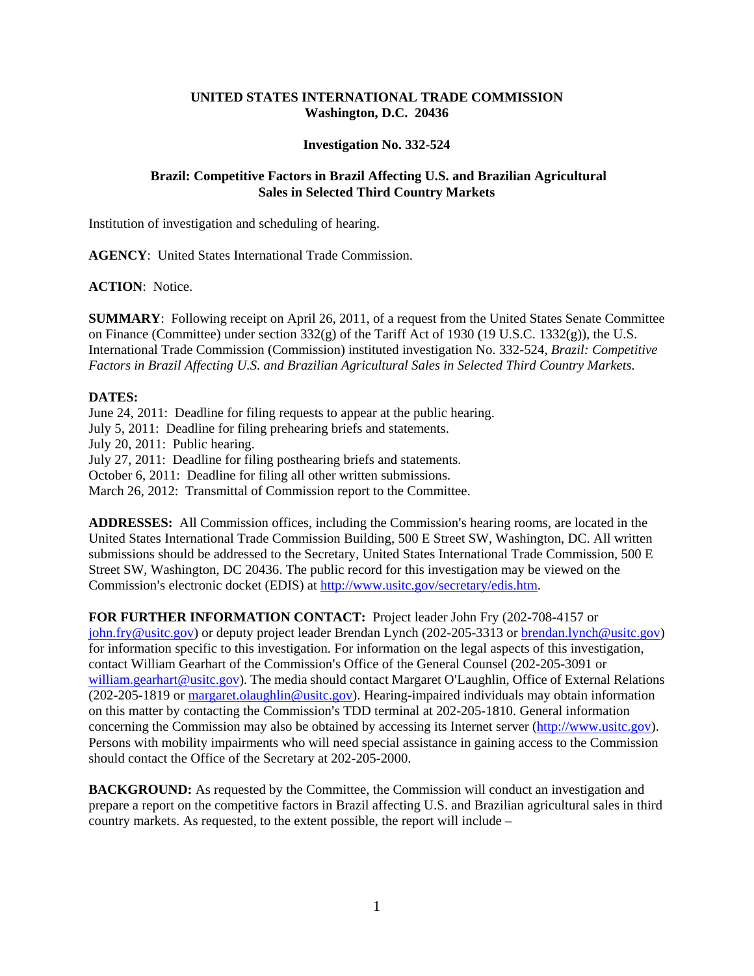# **UNITED STATES INTERNATIONAL TRADE COMMISSION Washington, D.C. 20436**

## **Investigation No. 332-524**

# **Brazil: Competitive Factors in Brazil Affecting U.S. and Brazilian Agricultural Sales in Selected Third Country Markets**

Institution of investigation and scheduling of hearing.

**AGENCY**: United States International Trade Commission.

## **ACTION**: Notice.

**SUMMARY**: Following receipt on April 26, 2011, of a request from the United States Senate Committee on Finance (Committee) under section  $332(g)$  of the Tariff Act of 1930 (19 U.S.C. 1332 $(g)$ ), the U.S. International Trade Commission (Commission) instituted investigation No. 332-524, *Brazil: Competitive Factors in Brazil Affecting U.S. and Brazilian Agricultural Sales in Selected Third Country Markets.* 

# **DATES:**

June 24, 2011: Deadline for filing requests to appear at the public hearing. July 5, 2011: Deadline for filing prehearing briefs and statements. July 20, 2011: Public hearing. July 27, 2011: Deadline for filing posthearing briefs and statements. October 6, 2011: Deadline for filing all other written submissions. March 26, 2012: Transmittal of Commission report to the Committee.

ADDRESSES: All Commission offices, including the Commission's hearing rooms, are located in the United States International Trade Commission Building, 500 E Street SW, Washington, DC. All written submissions should be addressed to the Secretary, United States International Trade Commission, 500 E Street SW, Washington, DC 20436. The public record for this investigation may be viewed on the Commission's electronic docket (EDIS) at http://www.usitc.gov/secretary/edis.htm.

# **FOR FURTHER INFORMATION CONTACT:** Project leader John Fry (202-708-4157 or

john.fry@usitc.gov) or deputy project leader Brendan Lynch (202-205-3313 or brendan.lynch@usitc.gov) for information specific to this investigation. For information on the legal aspects of this investigation, contact William Gearhart of the Commission's Office of the General Counsel (202-205-3091 or william.gearhart@usitc.gov). The media should contact Margaret O'Laughlin, Office of External Relations (202-205-1819 or margaret.olaughlin@usitc.gov). Hearing-impaired individuals may obtain information on this matter by contacting the Commission's TDD terminal at 202-205-1810. General information concerning the Commission may also be obtained by accessing its Internet server (http://www.usitc.gov). Persons with mobility impairments who will need special assistance in gaining access to the Commission should contact the Office of the Secretary at 202-205-2000.

**BACKGROUND:** As requested by the Committee, the Commission will conduct an investigation and prepare a report on the competitive factors in Brazil affecting U.S. and Brazilian agricultural sales in third country markets. As requested, to the extent possible, the report will include –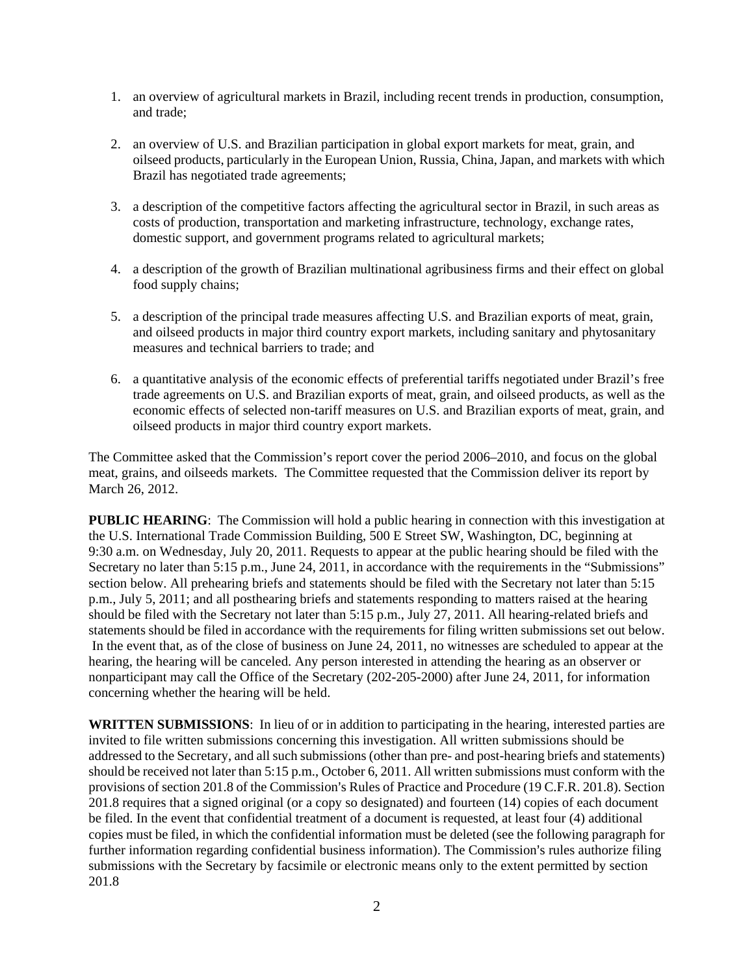- 1. an overview of agricultural markets in Brazil, including recent trends in production, consumption, and trade;
- 2. an overview of U.S. and Brazilian participation in global export markets for meat, grain, and oilseed products, particularly in the European Union, Russia, China, Japan, and markets with which Brazil has negotiated trade agreements;
- 3. a description of the competitive factors affecting the agricultural sector in Brazil, in such areas as costs of production, transportation and marketing infrastructure, technology, exchange rates, domestic support, and government programs related to agricultural markets;
- 4. a description of the growth of Brazilian multinational agribusiness firms and their effect on global food supply chains;
- 5. a description of the principal trade measures affecting U.S. and Brazilian exports of meat, grain, and oilseed products in major third country export markets, including sanitary and phytosanitary measures and technical barriers to trade; and
- 6. a quantitative analysis of the economic effects of preferential tariffs negotiated under Brazil's free trade agreements on U.S. and Brazilian exports of meat, grain, and oilseed products, as well as the economic effects of selected non-tariff measures on U.S. and Brazilian exports of meat, grain, and oilseed products in major third country export markets.

The Committee asked that the Commission's report cover the period 2006–2010, and focus on the global meat, grains, and oilseeds markets. The Committee requested that the Commission deliver its report by March 26, 2012.

**PUBLIC HEARING:** The Commission will hold a public hearing in connection with this investigation at the U.S. International Trade Commission Building, 500 E Street SW, Washington, DC, beginning at 9:30 a.m. on Wednesday, July 20, 2011. Requests to appear at the public hearing should be filed with the Secretary no later than 5:15 p.m., June 24, 2011, in accordance with the requirements in the "Submissions" section below. All prehearing briefs and statements should be filed with the Secretary not later than 5:15 p.m., July 5, 2011; and all posthearing briefs and statements responding to matters raised at the hearing should be filed with the Secretary not later than 5:15 p.m., July 27, 2011. All hearing-related briefs and statements should be filed in accordance with the requirements for filing written submissions set out below. In the event that, as of the close of business on June 24, 2011, no witnesses are scheduled to appear at the hearing, the hearing will be canceled. Any person interested in attending the hearing as an observer or nonparticipant may call the Office of the Secretary (202-205-2000) after June 24, 2011, for information concerning whether the hearing will be held.

**WRITTEN SUBMISSIONS**: In lieu of or in addition to participating in the hearing, interested parties are invited to file written submissions concerning this investigation. All written submissions should be addressed to the Secretary, and all such submissions (other than pre- and post-hearing briefs and statements) should be received not later than 5:15 p.m., October 6, 2011. All written submissions must conform with the provisions of section 201.8 of the Commission's Rules of Practice and Procedure (19 C.F.R. 201.8). Section 201.8 requires that a signed original (or a copy so designated) and fourteen (14) copies of each document be filed. In the event that confidential treatment of a document is requested, at least four (4) additional copies must be filed, in which the confidential information must be deleted (see the following paragraph for further information regarding confidential business information). The Commission's rules authorize filing submissions with the Secretary by facsimile or electronic means only to the extent permitted by section 201.8